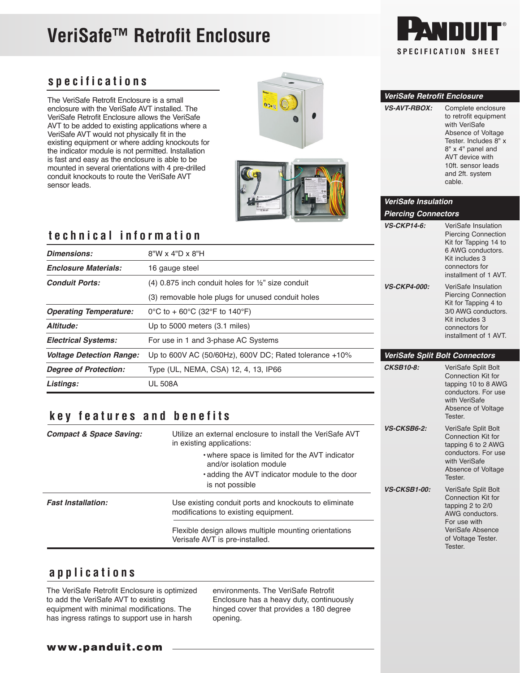# **VeriSafe™ Retrofit Enclosure**



### **specifications**

The VeriSafe Retrofit Enclosure is a small enclosure with the VeriSafe AVT installed. The VeriSafe Retrofit Enclosure allows the VeriSafe AVT to be added to existing applications where a VeriSafe AVT would not physically fit in the existing equipment or where adding knockouts for the indicator module is not permitted. Installation is fast and easy as the enclosure is able to be mounted in several orientations with 4 pre-drilled conduit knockouts to route the VeriSafe AVT sensor leads.



#### *VeriSafe Retrofit Enclosure*

*VeriSafe Insulation Piercing Connectors*

| <b>VS-AVT-RBOX:</b> | Complete enclosure<br>to retrofit equipment<br>with VeriSafe<br>Absence of Voltage<br>Tester, Includes 8" x<br>8" x 4" panel and<br>AVT device with<br>10ft. sensor leads |
|---------------------|---------------------------------------------------------------------------------------------------------------------------------------------------------------------------|
|                     | and 2ft. system<br>cable                                                                                                                                                  |

*VS-CKP14-6:* VeriSafe Insulation

 Piercing Connection Kit for Tapping 14 to

 with VeriSafe Absence of Voltage

 Connection Kit for tapping 6 to 2 AWG conductors. For use with VeriSafe Absence of Voltage

 Connection Kit for tapping 2 to 2/0 AWG conductors. For use with VeriSafe Absence of Voltage Tester.

Tester.

Tester.

Tester.

*VS-CKSB6-2:* VeriSafe Split Bolt

*VS-CKSB1-00:* VeriSafe Split Bolt

## **technical information**

| <b>Dimensions:</b>              | $8"W \times 4"D \times 8"H$                                   | 6 AWG conductors.<br>Kit includes 3<br>connectors for<br>installment of 1 AVT. |                                                    |  |
|---------------------------------|---------------------------------------------------------------|--------------------------------------------------------------------------------|----------------------------------------------------|--|
| <b>Enclosure Materials:</b>     | 16 gauge steel                                                |                                                                                |                                                    |  |
| <b>Conduit Ports:</b>           | $(4)$ 0.875 inch conduit holes for $\frac{1}{2}$ size conduit | <b>VS-CKP4-000:</b>                                                            | VeriSafe Insulation                                |  |
|                                 | (3) removable hole plugs for unused conduit holes             |                                                                                | <b>Piercing Connection</b><br>Kit for Tapping 4 to |  |
| <b>Operating Temperature:</b>   | 0°C to + 60°C (32°F to 140°F)                                 |                                                                                | 3/0 AWG conductors.                                |  |
| Altitude:                       | Up to 5000 meters (3.1 miles)                                 |                                                                                | Kit includes 3<br>connectors for                   |  |
| <b>Electrical Systems:</b>      | For use in 1 and 3-phase AC Systems                           |                                                                                | installment of 1 AVT.                              |  |
| <b>Voltage Detection Range:</b> | Up to 600V AC (50/60Hz), 600V DC; Rated tolerance $+10\%$     | <b>VeriSafe Split Bolt Connectors</b>                                          |                                                    |  |
| <b>Degree of Protection:</b>    | Type (UL, NEMA, CSA) 12, 4, 13, IP66                          | <b>CKSB10-8:</b>                                                               | VeriSafe Split Bolt<br>Connection Kit for          |  |
| Listings:                       | <b>UL 508A</b>                                                |                                                                                | tapping 10 to 8 AWG<br>conductors. For use         |  |

## **key features and benefits**

| <b>Compact &amp; Space Saving:</b> | Utilize an external enclosure to install the VeriSafe AVT<br>in existing applications:                                                        |  |
|------------------------------------|-----------------------------------------------------------------------------------------------------------------------------------------------|--|
|                                    | . where space is limited for the AVT indicator<br>and/or isolation module<br>• adding the AVT indicator module to the door<br>is not possible |  |
| <b>Fast Installation:</b>          | Use existing conduit ports and knockouts to eliminate<br>modifications to existing equipment.                                                 |  |
|                                    | Flexible design allows multiple mounting orientations<br>Verisafe AVT is pre-installed.                                                       |  |

### **applications**

The VeriSafe Retrofit Enclosure is optimized to add the VeriSafe AVT to existing equipment with minimal modifications. The has ingress ratings to support use in harsh

environments. The VeriSafe Retrofit Enclosure has a heavy duty, continuously hinged cover that provides a 180 degree opening.

www.panduit.com